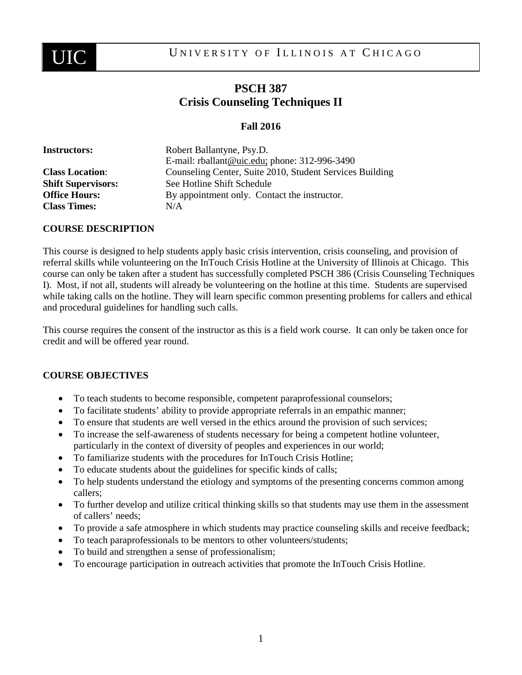

# **PSCH 387 Crisis Counseling Techniques II**

# **Fall 2016**

| <b>Instructors:</b>       | Robert Ballantyne, Psy.D.                                |
|---------------------------|----------------------------------------------------------|
|                           | E-mail: rballant@uic.edu; phone: 312-996-3490            |
| <b>Class Location:</b>    | Counseling Center, Suite 2010, Student Services Building |
| <b>Shift Supervisors:</b> | See Hotline Shift Schedule                               |
| <b>Office Hours:</b>      | By appointment only. Contact the instructor.             |
| <b>Class Times:</b>       | N/A                                                      |

#### **COURSE DESCRIPTION**

This course is designed to help students apply basic crisis intervention, crisis counseling, and provision of referral skills while volunteering on the InTouch Crisis Hotline at the University of Illinois at Chicago. This course can only be taken after a student has successfully completed PSCH 386 (Crisis Counseling Techniques I). Most, if not all, students will already be volunteering on the hotline at this time. Students are supervised while taking calls on the hotline. They will learn specific common presenting problems for callers and ethical and procedural guidelines for handling such calls.

This course requires the consent of the instructor as this is a field work course. It can only be taken once for credit and will be offered year round.

## **COURSE OBJECTIVES**

- To teach students to become responsible, competent paraprofessional counselors;
- To facilitate students' ability to provide appropriate referrals in an empathic manner;
- To ensure that students are well versed in the ethics around the provision of such services;
- To increase the self-awareness of students necessary for being a competent hotline volunteer, particularly in the context of diversity of peoples and experiences in our world;
- To familiarize students with the procedures for InTouch Crisis Hotline;
- To educate students about the guidelines for specific kinds of calls;
- To help students understand the etiology and symptoms of the presenting concerns common among callers;
- To further develop and utilize critical thinking skills so that students may use them in the assessment of callers' needs;
- To provide a safe atmosphere in which students may practice counseling skills and receive feedback;
- To teach paraprofessionals to be mentors to other volunteers/students;
- To build and strengthen a sense of professionalism;
- To encourage participation in outreach activities that promote the InTouch Crisis Hotline.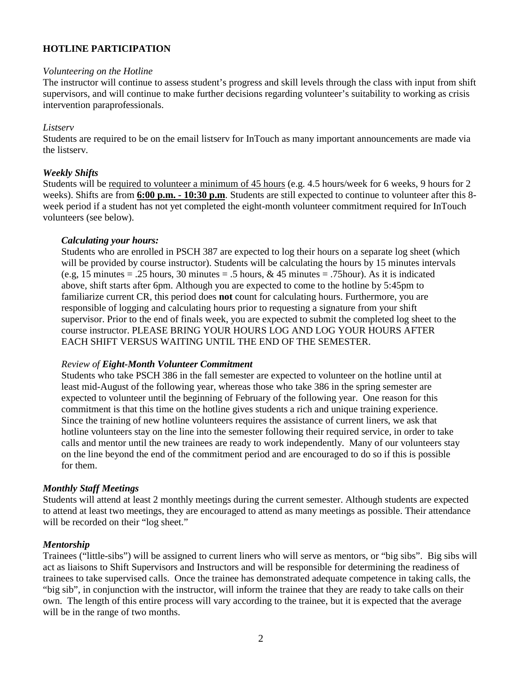## **HOTLINE PARTICIPATION**

#### *Volunteering on the Hotline*

The instructor will continue to assess student's progress and skill levels through the class with input from shift supervisors, and will continue to make further decisions regarding volunteer's suitability to working as crisis intervention paraprofessionals.

#### *Listserv*

Students are required to be on the email listserv for InTouch as many important announcements are made via the listserv.

#### *Weekly Shifts*

Students will be required to volunteer a minimum of 45 hours (e.g. 4.5 hours/week for 6 weeks, 9 hours for 2 weeks). Shifts are from **6:00 p.m. - 10:30 p.m**. Students are still expected to continue to volunteer after this 8 week period if a student has not yet completed the eight-month volunteer commitment required for InTouch volunteers (see below).

#### *Calculating your hours:*

Students who are enrolled in PSCH 387 are expected to log their hours on a separate log sheet (which will be provided by course instructor). Students will be calculating the hours by 15 minutes intervals (e.g, 15 minutes = .25 hours, 30 minutes = .5 hours, & 45 minutes = .75 hour). As it is indicated above, shift starts after 6pm. Although you are expected to come to the hotline by 5:45pm to familiarize current CR, this period does **not** count for calculating hours. Furthermore, you are responsible of logging and calculating hours prior to requesting a signature from your shift supervisor. Prior to the end of finals week, you are expected to submit the completed log sheet to the course instructor. PLEASE BRING YOUR HOURS LOG AND LOG YOUR HOURS AFTER EACH SHIFT VERSUS WAITING UNTIL THE END OF THE SEMESTER.

#### *Review of Eight-Month Volunteer Commitment*

Students who take PSCH 386 in the fall semester are expected to volunteer on the hotline until at least mid-August of the following year, whereas those who take 386 in the spring semester are expected to volunteer until the beginning of February of the following year. One reason for this commitment is that this time on the hotline gives students a rich and unique training experience. Since the training of new hotline volunteers requires the assistance of current liners, we ask that hotline volunteers stay on the line into the semester following their required service, in order to take calls and mentor until the new trainees are ready to work independently. Many of our volunteers stay on the line beyond the end of the commitment period and are encouraged to do so if this is possible for them.

#### *Monthly Staff Meetings*

Students will attend at least 2 monthly meetings during the current semester. Although students are expected to attend at least two meetings, they are encouraged to attend as many meetings as possible. Their attendance will be recorded on their "log sheet."

#### *Mentorship*

Trainees ("little-sibs") will be assigned to current liners who will serve as mentors, or "big sibs". Big sibs will act as liaisons to Shift Supervisors and Instructors and will be responsible for determining the readiness of trainees to take supervised calls. Once the trainee has demonstrated adequate competence in taking calls, the "big sib", in conjunction with the instructor, will inform the trainee that they are ready to take calls on their own. The length of this entire process will vary according to the trainee, but it is expected that the average will be in the range of two months.